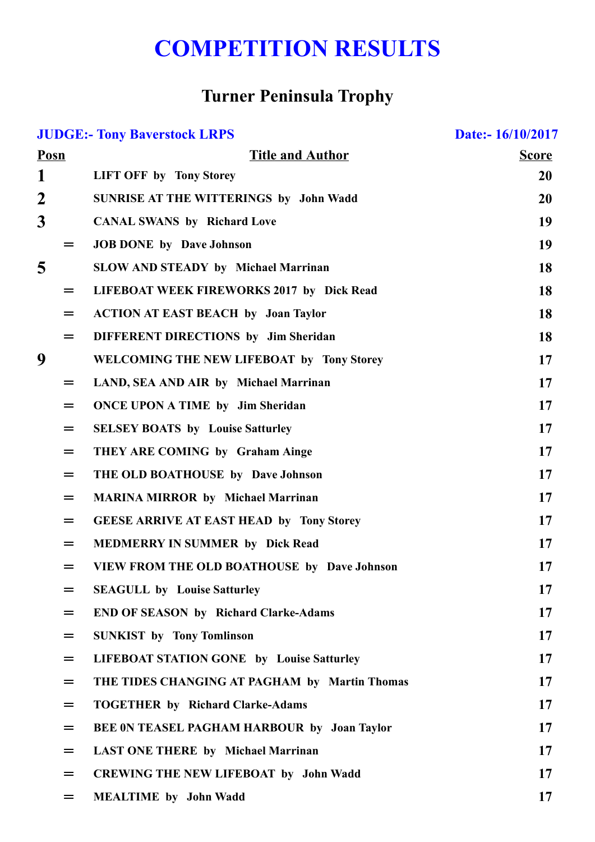## COMPETITION RESULTS

## Turner Peninsula Trophy

| <b>JUDGE:- Tony Baverstock LRPS</b> |     |                                                    | Date:- 16/10/2017 |
|-------------------------------------|-----|----------------------------------------------------|-------------------|
| Posn                                |     | <b>Title and Author</b>                            | <b>Score</b>      |
| 1                                   |     | <b>LIFT OFF by Tony Storey</b>                     | <b>20</b>         |
| $\overline{2}$                      |     | <b>SUNRISE AT THE WITTERINGS by John Wadd</b>      | 20                |
| $\overline{\mathbf{3}}$             |     | <b>CANAL SWANS by Richard Love</b>                 | 19                |
|                                     | $=$ | <b>JOB DONE</b> by Dave Johnson                    | 19                |
| 5                                   |     | <b>SLOW AND STEADY by Michael Marrinan</b>         | 18                |
|                                     | $=$ | LIFEBOAT WEEK FIREWORKS 2017 by Dick Read          | 18                |
|                                     | $=$ | <b>ACTION AT EAST BEACH by Joan Taylor</b>         | 18                |
|                                     | $=$ | DIFFERENT DIRECTIONS by Jim Sheridan               | 18                |
| 9                                   |     | WELCOMING THE NEW LIFEBOAT by Tony Storey          | 17                |
|                                     | $=$ | LAND, SEA AND AIR by Michael Marrinan              | 17                |
|                                     | $=$ | <b>ONCE UPON A TIME by Jim Sheridan</b>            | 17                |
|                                     | $=$ | <b>SELSEY BOATS</b> by Louise Satturley            | 17                |
|                                     | $=$ | THEY ARE COMING by Graham Ainge                    | 17                |
|                                     | $=$ | THE OLD BOATHOUSE by Dave Johnson                  | 17                |
|                                     | =   | <b>MARINA MIRROR by Michael Marrinan</b>           | 17                |
|                                     | $=$ | <b>GEESE ARRIVE AT EAST HEAD by Tony Storey</b>    | 17                |
|                                     | $=$ | <b>MEDMERRY IN SUMMER by Dick Read</b>             | 17                |
|                                     | $=$ | <b>VIEW FROM THE OLD BOATHOUSE by Dave Johnson</b> | 17                |
|                                     | =   | <b>SEAGULL by Louise Satturley</b>                 | 17                |
|                                     | $=$ | <b>END OF SEASON by Richard Clarke-Adams</b>       | 17                |
|                                     | $=$ | <b>SUNKIST by Tony Tomlinson</b>                   | 17                |
|                                     | =   | <b>LIFEBOAT STATION GONE by Louise Satturley</b>   | 17                |
|                                     | =   | THE TIDES CHANGING AT PAGHAM by Martin Thomas      | 17                |
|                                     | $=$ | <b>TOGETHER by Richard Clarke-Adams</b>            | 17                |
|                                     | $=$ | BEE ON TEASEL PAGHAM HARBOUR by Joan Taylor        | 17                |
|                                     | $=$ | <b>LAST ONE THERE by Michael Marrinan</b>          | 17                |
|                                     | $=$ | <b>CREWING THE NEW LIFEBOAT by John Wadd</b>       | 17                |
|                                     | $=$ | <b>MEALTIME</b> by John Wadd                       | 17                |